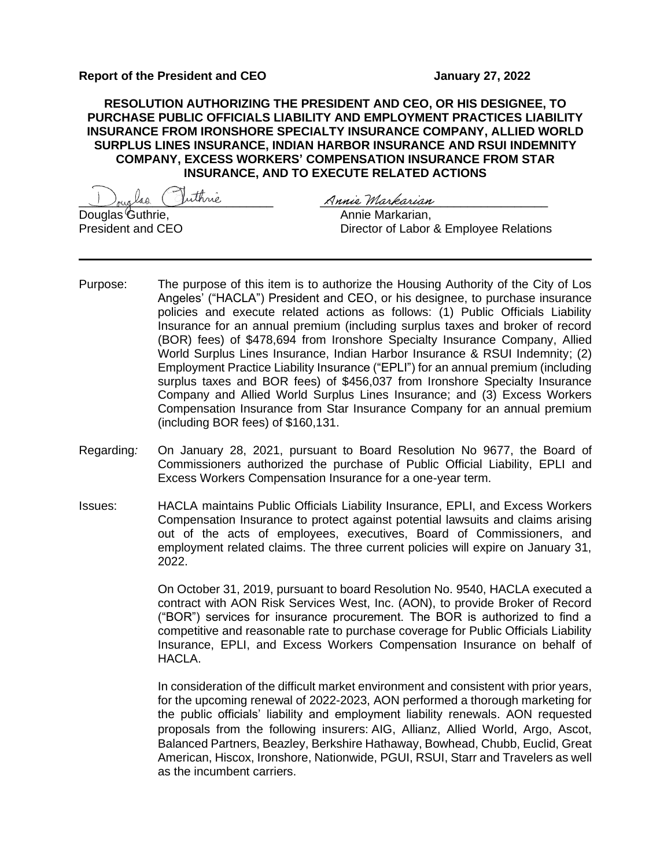**RESOLUTION AUTHORIZING THE PRESIDENT AND CEO, OR HIS DESIGNEE, TO PURCHASE PUBLIC OFFICIALS LIABILITY AND EMPLOYMENT PRACTICES LIABILITY INSURANCE FROM IRONSHORE SPECIALTY INSURANCE COMPANY, ALLIED WORLD SURPLUS LINES INSURANCE, INDIAN HARBOR INSURANCE AND RSUI INDEMNITY COMPANY, EXCESS WORKERS' COMPENSATION INSURANCE FROM STAR INSURANCE, AND TO EXECUTE RELATED ACTIONS**

\_\_\_\_\_\_\_\_\_\_\_\_\_\_\_\_\_\_\_\_\_\_\_\_\_\_\_\_\_ \_\_\_\_\_\_\_\_\_\_\_\_\_\_\_\_\_\_\_\_\_\_\_\_\_\_\_\_\_\_\_\_\_\_ Annie Markarian, President and CEO **Director of Labor & Employee Relations** 

- Purpose: The purpose of this item is to authorize the Housing Authority of the City of Los Angeles' ("HACLA") President and CEO, or his designee, to purchase insurance policies and execute related actions as follows: (1) Public Officials Liability Insurance for an annual premium (including surplus taxes and broker of record (BOR) fees) of \$478,694 from Ironshore Specialty Insurance Company, Allied World Surplus Lines Insurance, Indian Harbor Insurance & RSUI Indemnity; (2) Employment Practice Liability Insurance ("EPLI") for an annual premium (including surplus taxes and BOR fees) of \$456,037 from Ironshore Specialty Insurance Company and Allied World Surplus Lines Insurance; and (3) Excess Workers Compensation Insurance from Star Insurance Company for an annual premium (including BOR fees) of \$160,131.
- Regarding*:* On January 28, 2021, pursuant to Board Resolution No 9677, the Board of Commissioners authorized the purchase of Public Official Liability, EPLI and Excess Workers Compensation Insurance for a one-year term.
- Issues: HACLA maintains Public Officials Liability Insurance, EPLI, and Excess Workers Compensation Insurance to protect against potential lawsuits and claims arising out of the acts of employees, executives, Board of Commissioners, and employment related claims. The three current policies will expire on January 31, 2022.

On October 31, 2019, pursuant to board Resolution No. 9540, HACLA executed a contract with AON Risk Services West, Inc. (AON), to provide Broker of Record ("BOR") services for insurance procurement. The BOR is authorized to find a competitive and reasonable rate to purchase coverage for Public Officials Liability Insurance, EPLI, and Excess Workers Compensation Insurance on behalf of HACLA.

In consideration of the difficult market environment and consistent with prior years, for the upcoming renewal of 2022-2023, AON performed a thorough marketing for the public officials' liability and employment liability renewals. AON requested proposals from the following insurers: AIG, Allianz, Allied World, Argo, Ascot, Balanced Partners, Beazley, Berkshire Hathaway, Bowhead, Chubb, Euclid, Great American, Hiscox, Ironshore, Nationwide, PGUI, RSUI, Starr and Travelers as well as the incumbent carriers.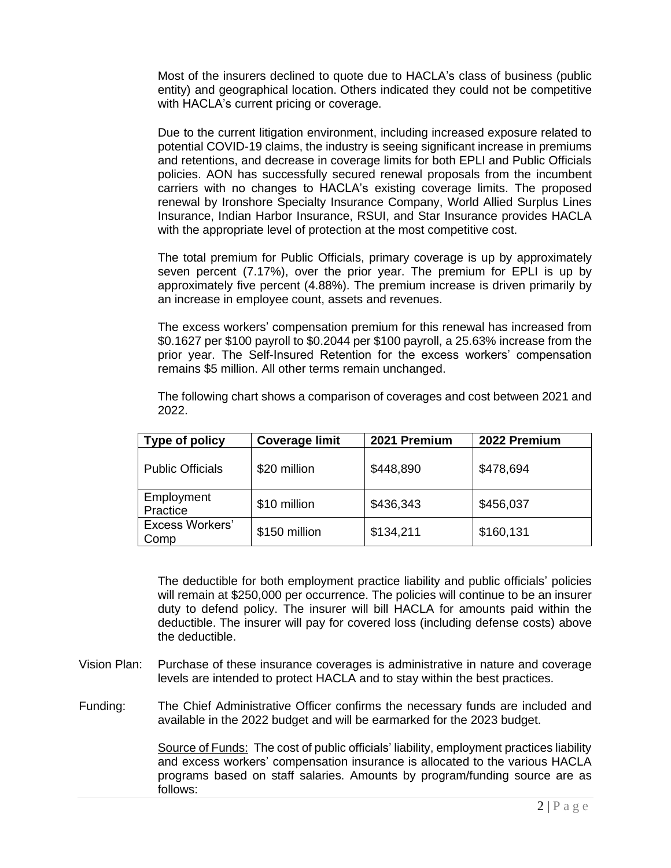Most of the insurers declined to quote due to HACLA's class of business (public entity) and geographical location. Others indicated they could not be competitive with HACLA's current pricing or coverage.

Due to the current litigation environment, including increased exposure related to potential COVID-19 claims, the industry is seeing significant increase in premiums and retentions, and decrease in coverage limits for both EPLI and Public Officials policies. AON has successfully secured renewal proposals from the incumbent carriers with no changes to HACLA's existing coverage limits. The proposed renewal by Ironshore Specialty Insurance Company, World Allied Surplus Lines Insurance, Indian Harbor Insurance, RSUI, and Star Insurance provides HACLA with the appropriate level of protection at the most competitive cost.

The total premium for Public Officials, primary coverage is up by approximately seven percent (7.17%), over the prior year. The premium for EPLI is up by approximately five percent (4.88%). The premium increase is driven primarily by an increase in employee count, assets and revenues.

The excess workers' compensation premium for this renewal has increased from \$0.1627 per \$100 payroll to \$0.2044 per \$100 payroll, a 25.63% increase from the prior year. The Self-Insured Retention for the excess workers' compensation remains \$5 million. All other terms remain unchanged.

| Type of policy                 | <b>Coverage limit</b> | 2021 Premium | 2022 Premium |  |  |
|--------------------------------|-----------------------|--------------|--------------|--|--|
| <b>Public Officials</b>        | \$20 million          | \$448,890    | \$478,694    |  |  |
| Employment<br>Practice         | \$10 million          | \$436,343    | \$456,037    |  |  |
| <b>Excess Workers'</b><br>Comp | \$150 million         | \$134,211    | \$160,131    |  |  |

The following chart shows a comparison of coverages and cost between 2021 and 2022.

The deductible for both employment practice liability and public officials' policies will remain at \$250,000 per occurrence. The policies will continue to be an insurer duty to defend policy. The insurer will bill HACLA for amounts paid within the deductible. The insurer will pay for covered loss (including defense costs) above the deductible.

- Vision Plan: Purchase of these insurance coverages is administrative in nature and coverage levels are intended to protect HACLA and to stay within the best practices.
- Funding: The Chief Administrative Officer confirms the necessary funds are included and available in the 2022 budget and will be earmarked for the 2023 budget.

Source of Funds: The cost of public officials' liability, employment practices liability and excess workers' compensation insurance is allocated to the various HACLA programs based on staff salaries. Amounts by program/funding source are as follows: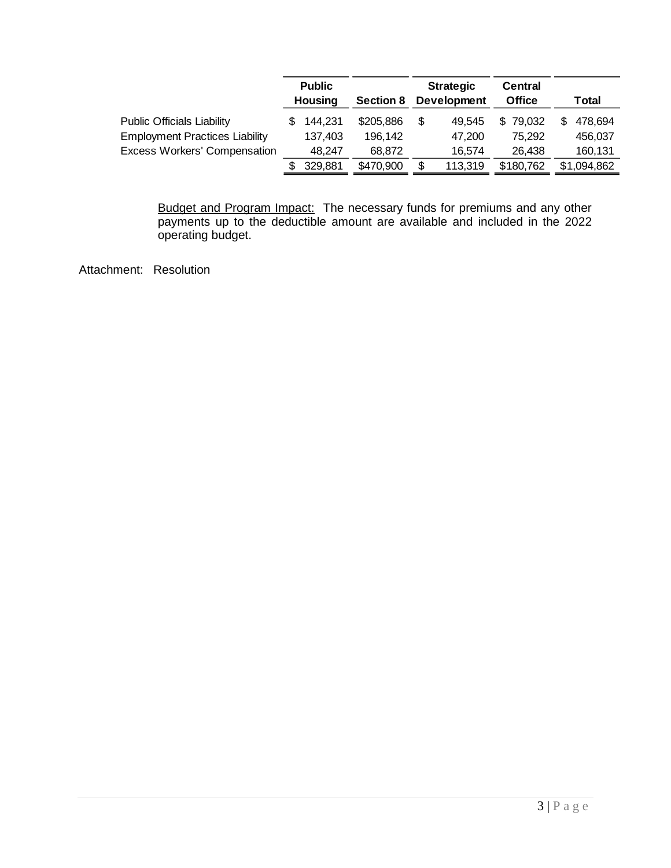|                                                                            | <b>Public</b><br>Housing |                    | <b>Section 8</b>     | <b>Strategic</b><br><b>Development</b> |                  | <b>Central</b><br><b>Office</b> |   | Total              |
|----------------------------------------------------------------------------|--------------------------|--------------------|----------------------|----------------------------------------|------------------|---------------------------------|---|--------------------|
| <b>Public Officials Liability</b><br><b>Employment Practices Liability</b> |                          | 144.231<br>137,403 | \$205,886<br>196,142 |                                        | 49.545<br>47.200 | \$79,032<br>75.292              | S | 478,694<br>456,037 |
| <b>Excess Workers' Compensation</b>                                        |                          | 48.247             | 68.872               |                                        | 16,574           | 26.438                          |   | 160,131            |
|                                                                            |                          | 329,881            | \$470,900            |                                        | 113,319          | \$180,762                       |   | \$1,094,862        |

Budget and Program Impact: The necessary funds for premiums and any other payments up to the deductible amount are available and included in the 2022 operating budget.

Attachment: Resolution